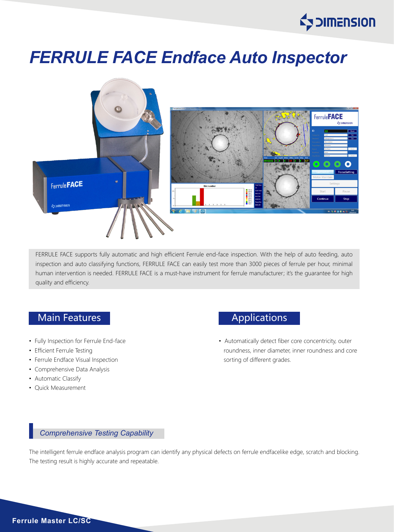

# *FERRULE FACE Endface Auto Inspector*



FERRULE FACE supports fully automatic and high efficient Ferrule end-face inspection. With the help of auto feeding, auto inspection and auto classifying functions, FERRULE FACE can easily test more than 3000 pieces of ferrule per hour, minimal human intervention is needed. FERRULE FACE is a must-have instrument for ferrule manufacturer; it's the quarantee for high quality and efficiency.

## Main Features **Applications** Applications

- Fully Inspection for Ferrule End-face
- Efficient Ferrule Testing
- Ferrule Endface Visual Inspection
- Comprehensive Data Analysis
- Automatic Classify
- Quick Measurement

• Automatically detect fiber core concentricity, outer roundness, inner diameter, inner roundness and core sorting of different grades.

#### *Comprehensive Testing Capability*

The intelligent ferrule endface analysis program can identify any physical defects on ferrule endfacelike edge, scratch and blocking. The testing result is highly accurate and repeatable.